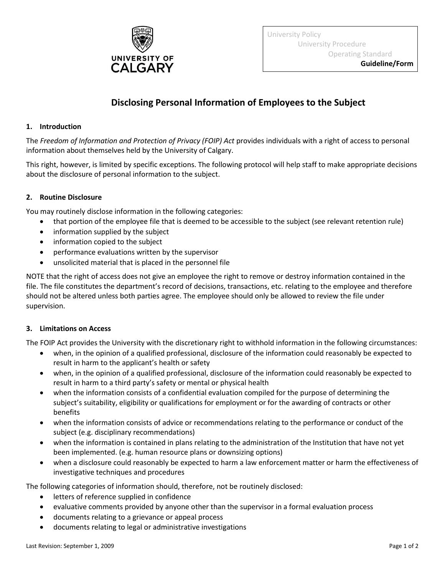

University Policy University Procedure Operating Standard

## **Disclosing Personal Information of Employees to the Subject**

## **1. Introduction**

The *Freedom of Information and Protection of Privacy (FOIP) Act* provides individuals with a right of access to personal information about themselves held by the University of Calgary.

This right, however, is limited by specific exceptions. The following protocol will help staff to make appropriate decisions about the disclosure of personal information to the subject.

## **2. Routine Disclosure**

You may routinely disclose information in the following categories:

- that portion of the employee file that is deemed to be accessible to the subject (see relevant retention rule)
- information supplied by the subject
- information copied to the subject
- performance evaluations written by the supervisor
- unsolicited material that is placed in the personnel file

NOTE that the right of access does not give an employee the right to remove or destroy information contained in the file. The file constitutes the department's record of decisions, transactions, etc. relating to the employee and therefore should not be altered unless both parties agree. The employee should only be allowed to review the file under supervision.

## **3. Limitations on Access**

The FOIP Act provides the University with the discretionary right to withhold information in the following circumstances:

- when, in the opinion of a qualified professional, disclosure of the information could reasonably be expected to result in harm to the applicant's health or safety
- when, in the opinion of a qualified professional, disclosure of the information could reasonably be expected to result in harm to a third party's safety or mental or physical health
- when the information consists of a confidential evaluation compiled for the purpose of determining the subject's suitability, eligibility or qualifications for employment or for the awarding of contracts or other benefits
- when the information consists of advice or recommendations relating to the performance or conduct of the subject (e.g. disciplinary recommendations)
- when the information is contained in plans relating to the administration of the Institution that have not yet been implemented. (e.g. human resource plans or downsizing options)
- when a disclosure could reasonably be expected to harm a law enforcement matter or harm the effectiveness of investigative techniques and procedures

The following categories of information should, therefore, not be routinely disclosed:

- **•** letters of reference supplied in confidence
- evaluative comments provided by anyone other than the supervisor in a formal evaluation process
- documents relating to a grievance or appeal process
- documents relating to legal or administrative investigations